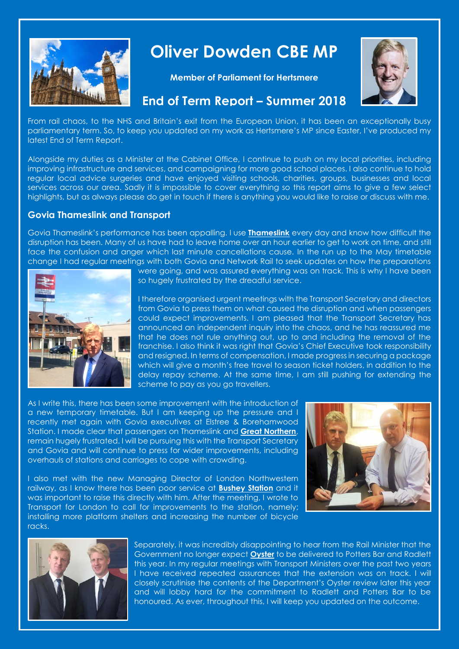

# **Oliver Dowden CBE MP**

**Member of Parliament for Hertsmere**



## **End of Term Report – Summer 2018**

From rail chaos, to the NHS and Britain's exit from the European Union, it has been an exceptionally busy parliamentary term. So, to keep you updated on my work as Hertsmere's MP since Easter, I've produced my latest End of Term Report.

Alongside my duties as a Minister at the Cabinet Office, I continue to push on my local priorities, including improving infrastructure and services, and campaigning for more good school places. I also continue to hold regular local advice surgeries and have enjoyed visiting schools, charities, groups, businesses and local services across our area. Sadly it is impossible to cover everything so this report aims to give a few select highlights, but as always please do get in touch if there is anything you would like to raise or discuss with me.

#### **Govia Thameslink and Transport**

Govia Thameslink's performance has been appalling. I use **Thameslink** every day and know how difficult the disruption has been. Many of us have had to leave home over an hour earlier to get to work on time, and still face the confusion and anger which last minute cancellations cause. In the run up to the May timetable change I had regular meetings with both Govia and Network Rail to seek updates on how the preparations



were going, and was assured everything was on track. This is why I have been so hugely frustrated by the dreadful service.

I therefore organised urgent meetings with the Transport Secretary and directors from Govia to press them on what caused the disruption and when passengers could expect improvements. I am pleased that the Transport Secretary has announced an independent inquiry into the chaos, and he has reassured me that he does not rule anything out, up to and including the removal of the franchise. I also think it was right that Govia's Chief Executive took responsibility and resigned. In terms of compensation, I made progress in securing a package which will give a month's free travel to season ticket holders, in addition to the delay repay scheme. At the same time, I am still pushing for extending the scheme to pay as you go travellers.

As I write this, there has been some improvement with the introduction of a new temporary timetable. But I am keeping up the pressure and I recently met again with Govia executives at Elstree & Borehamwood Station. I made clear that passengers on Thameslink and **Great Northern**, remain hugely frustrated. I will be pursuing this with the Transport Secretary and Govia and will continue to press for wider improvements, including overhauls of stations and carriages to cope with crowding.



I also met with the new Managing Director of London Northwestern railway, as I know there has been poor service at **Bushey Station** and it was important to raise this directly with him. After the meeting, I wrote to Transport for London to call for improvements to the station, namely; installing more platform shelters and increasing the number of bicycle racks.



Separately, it was incredibly disappointing to hear from the Rail Minister that the Government no longer expect **Oyster** to be delivered to Potters Bar and Radlett this year. In my regular meetings with Transport Ministers over the past two years I have received repeated assurances that the extension was on track. I will closely scrutinise the contents of the Department's Oyster review later this year and will lobby hard for the commitment to Radlett and Potters Bar to be honoured. As ever, throughout this, I will keep you updated on the outcome.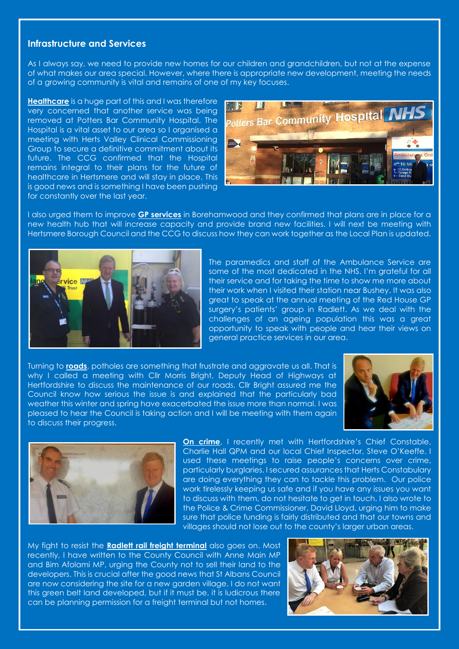#### **Infrastructure and Services**

As I always say, we need to provide new homes for our children and grandchildren, but not at the expense of what makes our area special. However, where there is appropriate new development, meeting the needs of a growing community is vital and remains of one of my key focuses.

**Healthcare** is a huge part of this and I was therefore very concerned that another service was being removed at Potters Bar Community Hospital. The Hospital is a vital asset to our area so I organised a meeting with Herts Valley Clinical Commissioning Group to secure a definitive commitment about its future. The CCG confirmed that the Hospital remains integral to their plans for the future of healthcare in Hertsmere and will stay in place. This is good news and is something I have been pushing for constantly over the last year.



I also urged them to improve **GP services** in Borehamwood and they confirmed that plans are in place for a new health hub that will increase capacity and provide brand new facilities. I will next be meeting with Hertsmere Borough Council and the CCG to discuss how they can work together as the Local Plan is updated.



The paramedics and staff of the Ambulance Service are some of the most dedicated in the NHS. I'm grateful for all their service and for taking the time to show me more about their work when I visited their station near Bushey. It was also great to speak at the annual meeting of the Red House GP surgery's patients' group in Radlett. As we deal with the challenges of an ageing population this was a great opportunity to speak with people and hear their views on general practice services in our area.

Turning to **roads**, potholes are something that frustrate and aggravate us all. That is why I called a meeting with Cllr Morris Bright, Deputy Head of Highways at Hertfordshire to discuss the maintenance of our roads. Cllr Bright assured me the Council know how serious the issue is and explained that the particularly bad weather this winter and spring have exacerbated the issue more than normal. I was pleased to hear the Council is taking action and I will be meeting with them again to discuss their progress.





**On crime**, I recently met with Hertfordshire's Chief Constable, Charlie Hall QPM and our local Chief Inspector, Steve O'Keeffe. I used these meetings to raise people's concerns over crime, particularly burglaries. I secured assurances that Herts Constabulary are doing everything they can to tackle this problem. Our police work tirelessly keeping us safe and if you have any issues you want to discuss with them, do not hesitate to get in touch. I also wrote to the Police & Crime Commissioner, David Lloyd, urging him to make sure that police funding is fairly distributed and that our towns and villages should not lose out to the county's larger urban areas.

My fight to resist the **Radlett rail freight terminal** also goes on. Most recently, I have written to the County Council with Anne Main MP and Bim Afolami MP, urging the County not to sell their land to the developers. This is crucial after the good news that St Albans Council are now considering the site for a new garden village. I do not want this green belt land developed, but if it must be, it is ludicrous there can be planning permission for a freight terminal but not homes.

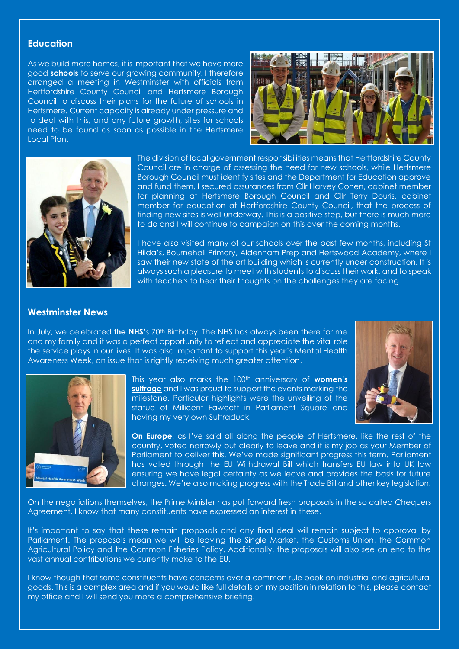#### **Education**

As we build more homes, it is important that we have more good **schools** to serve our growing community. I therefore arranged a meeting in Westminster with officials from Hertfordshire County Council and Hertsmere Borough Council to discuss their plans for the future of schools in Hertsmere. Current capacity is already under pressure and to deal with this, and any future growth, sites for schools need to be found as soon as possible in the Hertsmere Local Plan.





The division of local government responsibilities means that Hertfordshire County Council are in charge of assessing the need for new schools, while Hertsmere Borough Council must identify sites and the Department for Education approve and fund them. I secured assurances from Cllr Harvey Cohen, cabinet member for planning at Hertsmere Borough Council and Cllr Terry Douris, cabinet member for education at Hertfordshire County Council, that the process of finding new sites is well underway. This is a positive step, but there is much more to do and I will continue to campaign on this over the coming months.

I have also visited many of our schools over the past few months, including St Hilda's, Bournehall Primary, Aldenham Prep and Hertswood Academy, where I saw their new state of the art building which is currently under construction. It is always such a pleasure to meet with students to discuss their work, and to speak with teachers to hear their thoughts on the challenges they are facing.

#### **Westminster News**

In July, we celebrated **the NHS**'s 70<sup>th</sup> Birthday. The NHS has always been there for me and my family and it was a perfect opportunity to reflect and appreciate the vital role the service plays in our lives. It was also important to support this year's Mental Health Awareness Week, an issue that is rightly receiving much greater attention.





This year also marks the 100th anniversary of **women's suffrage** and I was proud to support the events marking the milestone. Particular highlights were the unveiling of the statue of Millicent Fawcett in Parliament Square and having my very own Suffraduck!

**On Europe**, as I've said all along the people of Hertsmere, like the rest of the country, voted narrowly but clearly to leave and it is my job as your Member of Parliament to deliver this. We've made significant progress this term. Parliament has voted through the EU Withdrawal Bill which transfers EU law into UK law ensuring we have legal certainty as we leave and provides the basis for future changes. We're also making progress with the Trade Bill and other key legislation.

On the negotiations themselves, the Prime Minister has put forward fresh proposals in the so called Chequers Agreement. I know that many constituents have expressed an interest in these.

It's important to say that these remain proposals and any final deal will remain subject to approval by Parliament. The proposals mean we will be leaving the Single Market, the Customs Union, the Common Agricultural Policy and the Common Fisheries Policy. Additionally, the proposals will also see an end to the vast annual contributions we currently make to the EU.

I know though that some constituents have concerns over a common rule book on industrial and agricultural goods. This is a complex area and if you would like full details on my position in relation to this, please contact my office and I will send you more a comprehensive briefing.